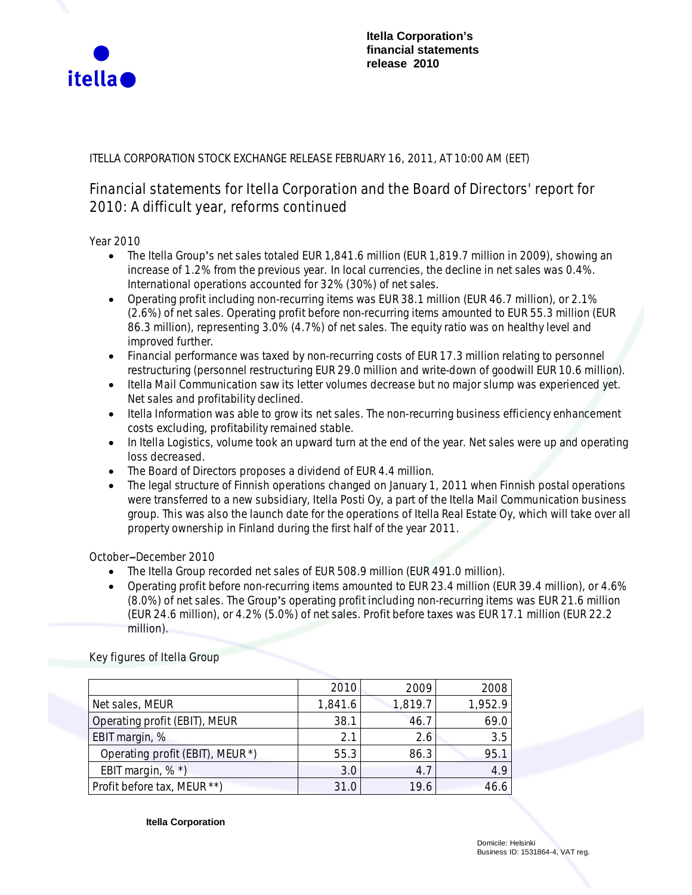

# ITELLA CORPORATION STOCK EXCHANGE RELEASE FEBRUARY 16, 2011, AT 10:00 AM (EET)

# **Financial statements for Itella Corporation and the Board of Directors' report for 2010: A difficult year, reforms continued**

**Year 2010**

- The Itella Group's net sales totaled EUR 1,841.6 million (EUR 1,819.7 million in 2009), showing an increase of 1.2% from the previous year. In local currencies, the decline in net sales was 0.4%. International operations accounted for 32% (30%) of net sales.
- x Operating profit including non-recurring items was EUR 38.1 million (EUR 46.7 million), or 2.1% (2.6%) of net sales. Operating profit before non-recurring items amounted to EUR 55.3 million (EUR 86.3 million), representing 3.0% (4.7%) of net sales. The equity ratio was on healthy level and improved further.
- Financial performance was taxed by non-recurring costs of EUR 17.3 million relating to personnel restructuring (personnel restructuring EUR 29.0 million and write-down of goodwill EUR 10.6 million).
- Itella Mail Communication saw its letter volumes decrease but no major slump was experienced yet. Net sales and profitability declined.
- Itella Information was able to grow its net sales. The non-recurring business efficiency enhancement costs excluding, profitability remained stable.
- In Itella Logistics, volume took an upward turn at the end of the year. Net sales were up and operating loss decreased.
- The Board of Directors proposes a dividend of EUR 4.4 million.
- The legal structure of Finnish operations changed on January 1, 2011 when Finnish postal operations were transferred to a new subsidiary, Itella Posti Oy, a part of the Itella Mail Communication business group. This was also the launch date for the operations of Itella Real Estate Oy, which will take over all property ownership in Finland during the first half of the year 2011.

**OctobermDecember 2010**

- The Itella Group recorded net sales of EUR 508.9 million (EUR 491.0 million).
- x Operating profit before non-recurring items amounted to EUR 23.4 million (EUR 39.4 million), or 4.6%  $(8.0%)$  of net sales. The Group's operating profit including non-recurring items was EUR 21.6 million (EUR 24.6 million), or 4.2% (5.0%) of net sales. Profit before taxes was EUR 17.1 million (EUR 22.2 million).

|                                  | 2010    | 2009    | 2008    |
|----------------------------------|---------|---------|---------|
| Net sales, MEUR                  | 1,841.6 | 1,819.7 | 1,952.9 |
| Operating profit (EBIT), MEUR    | 38.1    | 46.7    | 69.0    |
| EBIT margin, %                   | 2.1     | 2.6     | 3.5     |
| Operating profit (EBIT), MEUR *) | 55.3    | 86.3    | 95.1    |
| EBIT margin, %*)                 | 3.0     | 4.7     | 4.9     |
| Profit before tax, MEUR **)      | 31.0    | 19.6    | 46.6    |

**Key figures of Itella Group**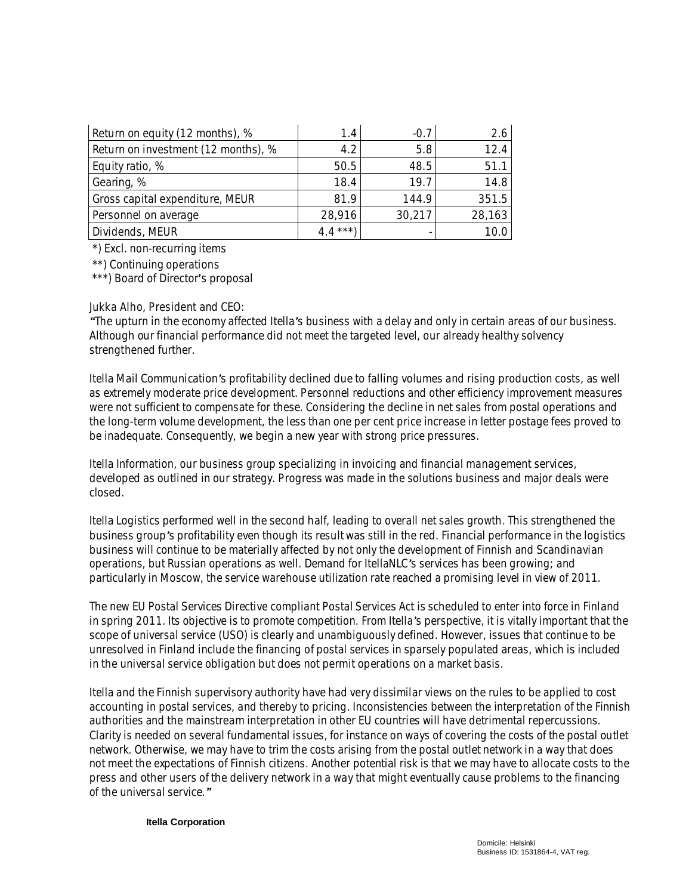| Return on equity (12 months), %     | 1.4      | $-0.7$ | 2.6    |
|-------------------------------------|----------|--------|--------|
| Return on investment (12 months), % | 4.2      | 5.8    | 12.4   |
| Equity ratio, %                     | 50.5     | 48.5   | 51.1   |
| Gearing, %                          | 18.4     | 19.7   | 14.8   |
| Gross capital expenditure, MEUR     | 81.9     | 144.9  | 351.5  |
| Personnel on average                | 28,916   | 30,217 | 28,163 |
| Dividends, MEUR                     | $4.4***$ |        | 10.0   |

\*) Excl. non-recurring items

\*\*) Continuing operations

\*\*\*) Board of Director's proposal

#### **Jukka Alho, President and CEO:**

*gThe upturn in the economy affected Itellas business with a delay and only in certain areas of our business. Although our financial performance did not meet the targeted level, our already healthy solvency strengthened further.*

*Itella Mail Communications profitability declined due to falling volumes and rising production costs, as well as extremely moderate price development. Personnel reductions and other efficiency improvement measures were not sufficient to compensate for these. Considering the decline in net sales from postal operations and the long-term volume development, the less than one per cent price increase in letter postage fees proved to be inadequate. Consequently, we begin a new year with strong price pressures.*

*Itella Information, our business group specializing in invoicing and financial management services, developed as outlined in our strategy. Progress was made in the solutions business and major deals were closed.*

*Itella Logistics performed well in the second half, leading to overall net sales growth. This strengthened the business groups profitability even though its result was still in the red. Financial performance in the logistics business will continue to be materially affected by not only the development of Finnish and Scandinavian operations, but Russian operations as well. Demand for ItellaNLCs services has been growing; and particularly in Moscow, the service warehouse utilization rate reached a promising level in view of 2011.*

*The new EU Postal Services Directive compliant Postal Services Act is scheduled to enter into force in Finland in spring 2011. Its objective is to promote competition. From Itellas perspective, it is vitally important that the scope of universal service (USO) is clearly and unambiguously defined. However, issues that continue to be unresolved in Finland include the financing of postal services in sparsely populated areas, which is included in the universal service obligation but does not permit operations on a market basis.*

*Itella and the Finnish supervisory authority have had very dissimilar views on the rules to be applied to cost accounting in postal services, and thereby to pricing. Inconsistencies between the interpretation of the Finnish authorities and the mainstream interpretation in other EU countries will have detrimental repercussions. Clarity is needed on several fundamental issues, for instance on ways of covering the costs of the postal outlet network. Otherwise, we may have to trim the costs arising from the postal outlet network in a way that does not meet the expectations of Finnish citizens. Another potential risk is that we may have to allocate costs to the press and other users of the delivery network in a way that might eventually cause problems to the financing of the universal service.u*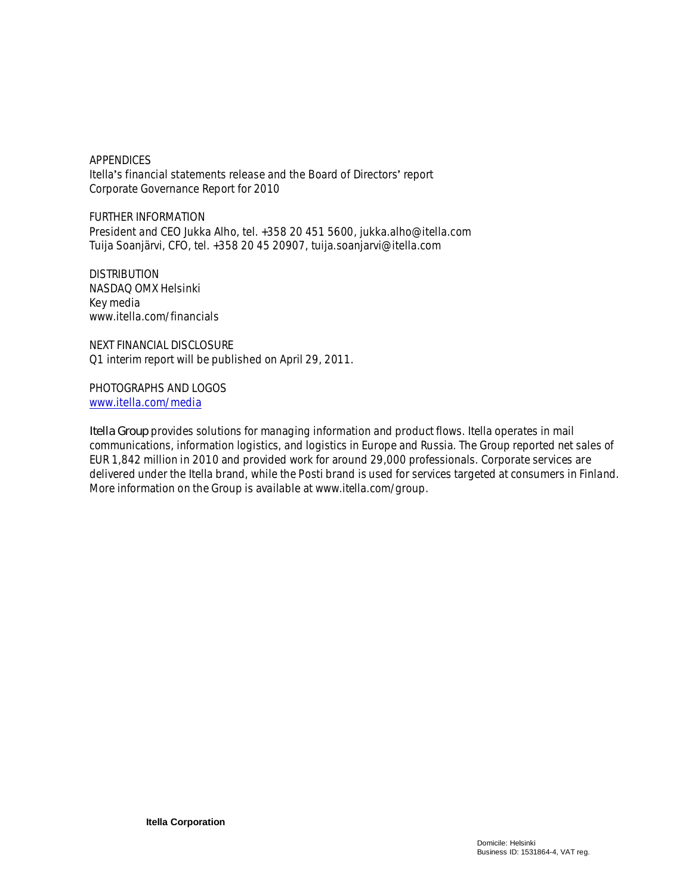APPENDICES Itella's financial statements release and the Board of Directors' report Corporate Governance Report for 2010

FURTHER INFORMATION President and CEO Jukka Alho, tel. +358 20 451 5600, jukka.alho@itella.com Tuija Soanjärvi, CFO, tel. +358 20 45 20907, tuija.soanjarvi@itella.com

DISTRIBUTION NASDAQ OMX Helsinki Key media www.itella.com/financials

NEXT FINANCIAL DISCLOSURE Q1 interim report will be published on April 29, 2011.

PHOTOGRAPHS AND LOGOS www.itella.com/media

*Itella Group provides solutions for managing information and product flows. Itella operates in mail communications, information logistics, and logistics in Europe and Russia. The Group reported net sales of EUR 1,842 million in 2010 and provided work for around 29,000 professionals. Corporate services are delivered under the Itella brand, while the Posti brand is used for services targeted at consumers in Finland. More information on the Group is available at www.itella.com/group.*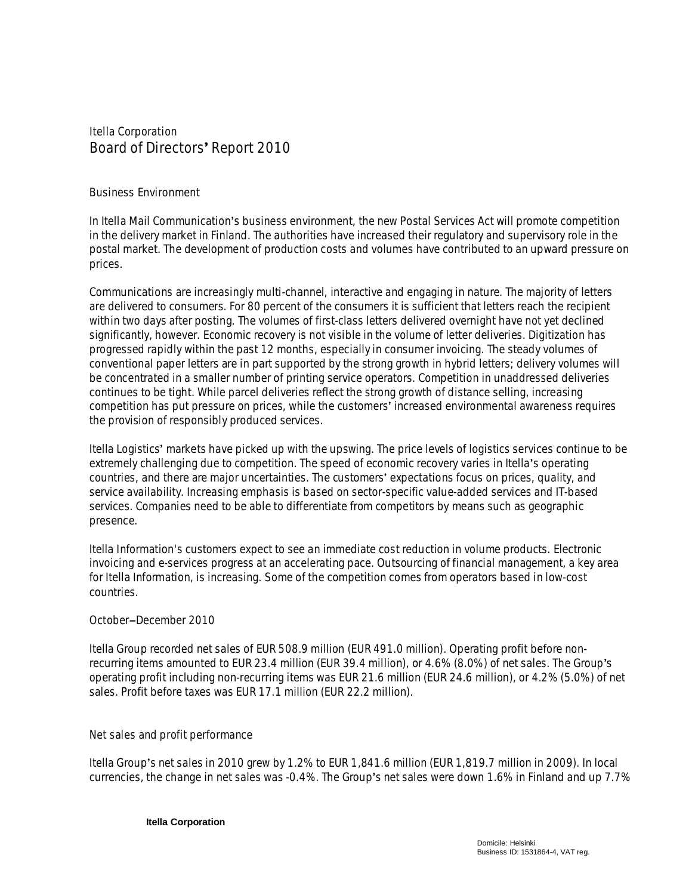**Itella Corporation Board of Directors Report 2010**

**Business Environment**

In Itella Mail Communication's business environment, the new Postal Services Act will promote competition in the delivery market in Finland. The authorities have increased their regulatory and supervisory role in the postal market. The development of production costs and volumes have contributed to an upward pressure on prices.

Communications are increasingly multi-channel, interactive and engaging in nature. The majority of letters are delivered to consumers. For 80 percent of the consumers it is sufficient that letters reach the recipient within two days after posting. The volumes of first-class letters delivered overnight have not yet declined significantly, however. Economic recovery is not visible in the volume of letter deliveries. Digitization has progressed rapidly within the past 12 months, especially in consumer invoicing. The steady volumes of conventional paper letters are in part supported by the strong growth in hybrid letters; delivery volumes will be concentrated in a smaller number of printing service operators. Competition in unaddressed deliveries continues to be tight. While parcel deliveries reflect the strong growth of distance selling, increasing competition has put pressure on prices, while the customers' increased environmental awareness requires the provision of responsibly produced services.

Itella Logistics markets have picked up with the upswing. The price levels of logistics services continue to be extremely challenging due to competition. The speed of economic recovery varies in Itella's operating countries, and there are major uncertainties. The customers' expectations focus on prices, quality, and service availability. Increasing emphasis is based on sector-specific value-added services and IT-based services. Companies need to be able to differentiate from competitors by means such as geographic presence.

Itella Information's customers expect to see an immediate cost reduction in volume products. Electronic invoicing and e-services progress at an accelerating pace. Outsourcing of financial management, a key area for Itella Information, is increasing. Some of the competition comes from operators based in low-cost countries.

## **OctobermDecember 2010**

Itella Group recorded net sales of EUR 508.9 million (EUR 491.0 million). Operating profit before nonrecurring items amounted to EUR 23.4 million (EUR 39.4 million), or 4.6% (8.0%) of net sales. The Group's operating profit including non-recurring items was EUR 21.6 million (EUR 24.6 million), or 4.2% (5.0%) of net sales. Profit before taxes was EUR 17.1 million (EUR 22.2 million).

#### **Net sales and profit performance**

Itella Group's net sales in 2010 grew by 1.2% to EUR 1,841.6 million (EUR 1,819.7 million in 2009). In local currencies, the change in net sales was -0.4%. The Group's net sales were down 1.6% in Finland and up 7.7%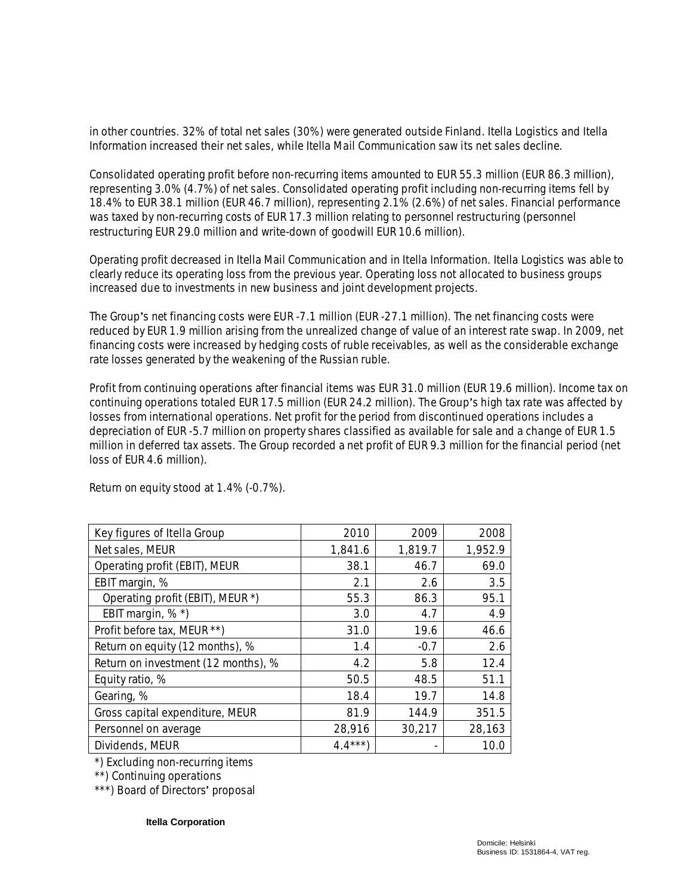in other countries. 32% of total net sales (30%) were generated outside Finland. Itella Logistics and Itella Information increased their net sales, while Itella Mail Communication saw its net sales decline.

Consolidated operating profit before non-recurring items amounted to EUR 55.3 million (EUR 86.3 million), representing 3.0% (4.7%) of net sales. Consolidated operating profit including non-recurring items fell by 18.4% to EUR 38.1 million (EUR 46.7 million), representing 2.1% (2.6%) of net sales. Financial performance was taxed by non-recurring costs of EUR 17.3 million relating to personnel restructuring (personnel restructuring EUR 29.0 million and write-down of goodwill EUR 10.6 million).

Operating profit decreased in Itella Mail Communication and in Itella Information. Itella Logistics was able to clearly reduce its operating loss from the previous year. Operating loss not allocated to business groups increased due to investments in new business and joint development projects.

The Group's net financing costs were EUR -7.1 million (EUR -27.1 million). The net financing costs were reduced by EUR 1.9 million arising from the unrealized change of value of an interest rate swap. In 2009, net financing costs were increased by hedging costs of ruble receivables, as well as the considerable exchange rate losses generated by the weakening of the Russian ruble.

Profit from continuing operations after financial items was EUR 31.0 million (EUR 19.6 million). Income tax on continuing operations totaled EUR 17.5 million (EUR 24.2 million). The Group's high tax rate was affected by losses from international operations. Net profit for the period from discontinued operations includes a depreciation of EUR -5.7 million on property shares classified as available for sale and a change of EUR 1.5 million in deferred tax assets. The Group recorded a net profit of EUR 9.3 million for the financial period (net loss of EUR 4.6 million).

| Key figures of Itella Group         | 2010     | 2009    | 2008    |
|-------------------------------------|----------|---------|---------|
| Net sales, MEUR                     | 1,841.6  | 1,819.7 | 1,952.9 |
| Operating profit (EBIT), MEUR       | 38.1     | 46.7    | 69.0    |
| EBIT margin, %                      | 2.1      | 2.6     | 3.5     |
| Operating profit (EBIT), MEUR *)    | 55.3     | 86.3    | 95.1    |
| EBIT margin, %*)                    | 3.0      | 4.7     | 4.9     |
| Profit before tax, MEUR **)         | 31.0     | 19.6    | 46.6    |
| Return on equity (12 months), %     | 1.4      | $-0.7$  | 2.6     |
| Return on investment (12 months), % | 4.2      | 5.8     | 12.4    |
| Equity ratio, %                     | 50.5     | 48.5    | 51.1    |
| Gearing, %                          | 18.4     | 19.7    | 14.8    |
| Gross capital expenditure, MEUR     | 81.9     | 144.9   | 351.5   |
| Personnel on average                | 28,916   | 30,217  | 28,163  |
| Dividends, MEUR                     | $4.4***$ |         | 10.0    |

Return on equity stood at 1.4% (-0.7%).

\*) Excluding non-recurring items

\*\*) Continuing operations

\*\*\*) Board of Directors' proposal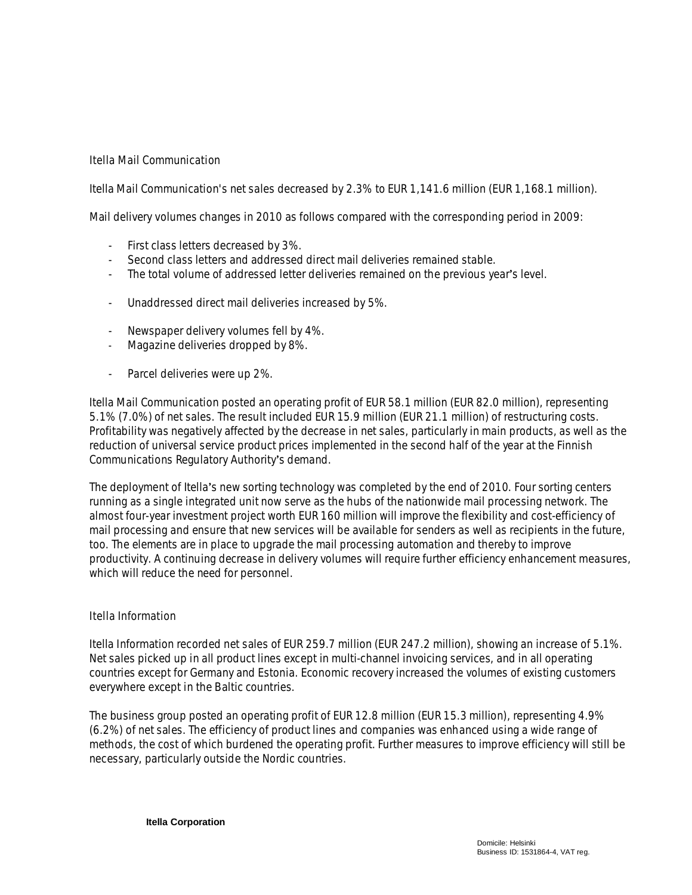## **Itella Mail Communication**

Itella Mail Communication's net sales decreased by 2.3% to EUR 1,141.6 million (EUR 1,168.1 million).

Mail delivery volumes changes in 2010 as follows compared with the corresponding period in 2009:

- First class letters decreased by 3%.
- Second class letters and addressed direct mail deliveries remained stable.
- The total volume of addressed letter deliveries remained on the previous year's level.
- Unaddressed direct mail deliveries increased by 5%.
- Newspaper delivery volumes fell by 4%.
- Magazine deliveries dropped by 8%.
- Parcel deliveries were up 2%.

Itella Mail Communication posted an operating profit of EUR 58.1 million (EUR 82.0 million), representing 5.1% (7.0%) of net sales. The result included EUR 15.9 million (EUR 21.1 million) of restructuring costs. Profitability was negatively affected by the decrease in net sales, particularly in main products, as well as the reduction of universal service product prices implemented in the second half of the year at the Finnish Communications Regulatory Authority's demand.

The deployment of Itella's new sorting technology was completed by the end of 2010. Four sorting centers running as a single integrated unit now serve as the hubs of the nationwide mail processing network. The almost four-year investment project worth EUR 160 million will improve the flexibility and cost-efficiency of mail processing and ensure that new services will be available for senders as well as recipients in the future, too. The elements are in place to upgrade the mail processing automation and thereby to improve productivity. A continuing decrease in delivery volumes will require further efficiency enhancement measures, which will reduce the need for personnel.

## **Itella Information**

Itella Information recorded net sales of EUR 259.7 million (EUR 247.2 million), showing an increase of 5.1%. Net sales picked up in all product lines except in multi-channel invoicing services, and in all operating countries except for Germany and Estonia. Economic recovery increased the volumes of existing customers everywhere except in the Baltic countries.

The business group posted an operating profit of EUR 12.8 million (EUR 15.3 million), representing 4.9% (6.2%) of net sales. The efficiency of product lines and companies was enhanced using a wide range of methods, the cost of which burdened the operating profit. Further measures to improve efficiency will still be necessary, particularly outside the Nordic countries.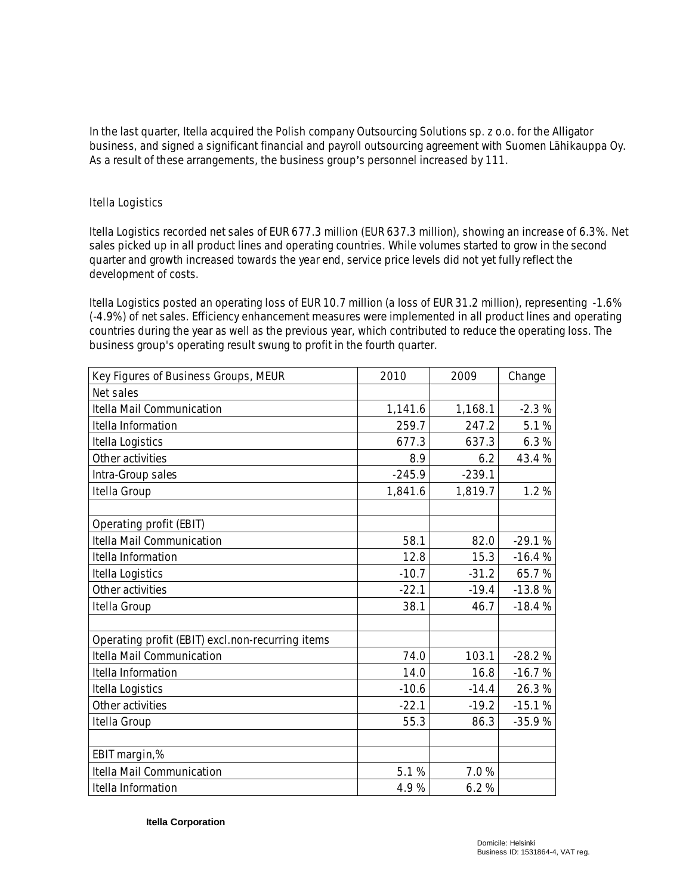In the last quarter, Itella acquired the Polish company Outsourcing Solutions sp. z o.o. for the Alligator business, and signed a significant financial and payroll outsourcing agreement with Suomen Lähikauppa Oy. As a result of these arrangements, the business group's personnel increased by 111.

## **Itella Logistics**

Itella Logistics recorded net sales of EUR 677.3 million (EUR 637.3 million), showing an increase of 6.3%. Net sales picked up in all product lines and operating countries. While volumes started to grow in the second quarter and growth increased towards the year end, service price levels did not yet fully reflect the development of costs.

Itella Logistics posted an operating loss of EUR 10.7 million (a loss of EUR 31.2 million), representing -1.6% (-4.9%) of net sales. Efficiency enhancement measures were implemented in all product lines and operating countries during the year as well as the previous year, which contributed to reduce the operating loss. The business group's operating result swung to profit in the fourth quarter.

| Key Figures of Business Groups, MEUR             | 2010     | 2009     | Change   |
|--------------------------------------------------|----------|----------|----------|
| Net sales                                        |          |          |          |
| Itella Mail Communication                        | 1,141.6  | 1,168.1  | $-2.3%$  |
| Itella Information                               | 259.7    | 247.2    | 5.1%     |
| Itella Logistics                                 | 677.3    | 637.3    | 6.3%     |
| Other activities                                 | 8.9      | 6.2      | 43.4%    |
| Intra-Group sales                                | $-245.9$ | $-239.1$ |          |
| Itella Group                                     | 1,841.6  | 1,819.7  | 1.2%     |
|                                                  |          |          |          |
| Operating profit (EBIT)                          |          |          |          |
| Itella Mail Communication                        | 58.1     | 82.0     | $-29.1%$ |
| Itella Information                               | 12.8     | 15.3     | $-16.4%$ |
| Itella Logistics                                 | $-10.7$  | $-31.2$  | 65.7%    |
| Other activities                                 | $-22.1$  | $-19.4$  | $-13.8%$ |
| Itella Group                                     | 38.1     | 46.7     | $-18.4%$ |
|                                                  |          |          |          |
| Operating profit (EBIT) excl.non-recurring items |          |          |          |
| Itella Mail Communication                        | 74.0     | 103.1    | $-28.2%$ |
| Itella Information                               | 14.0     | 16.8     | $-16.7%$ |
| Itella Logistics                                 | $-10.6$  | $-14.4$  | 26.3%    |
| Other activities                                 | $-22.1$  | $-19.2$  | $-15.1%$ |
| Itella Group                                     | 55.3     | 86.3     | $-35.9%$ |
|                                                  |          |          |          |
| EBIT margin,%                                    |          |          |          |
| Itella Mail Communication                        | 5.1%     | 7.0%     |          |
| Itella Information                               | 4.9%     | 6.2%     |          |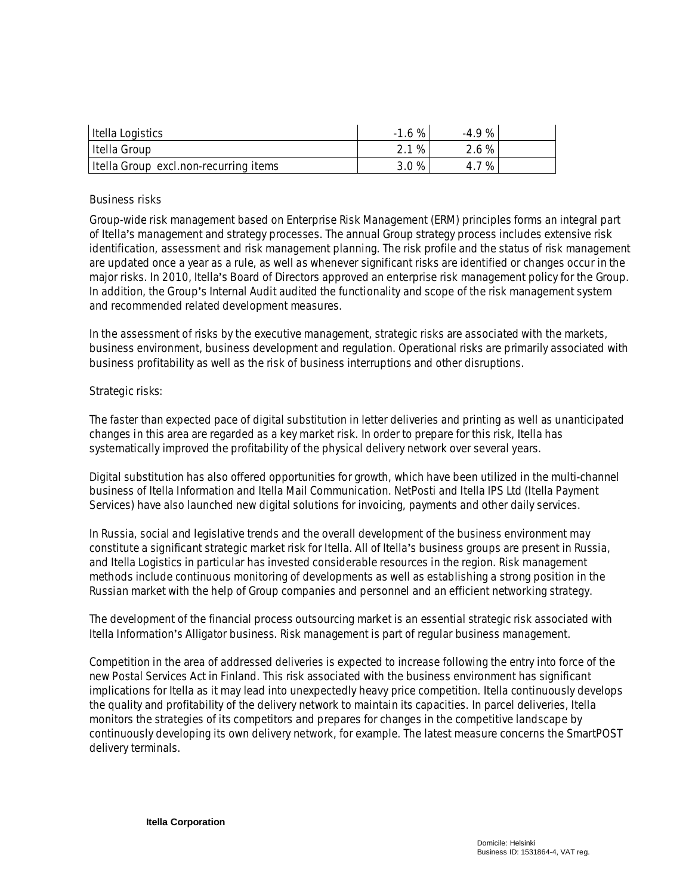| Itella Logistics                      | $-1.6%$ | $-49%$ |  |
|---------------------------------------|---------|--------|--|
| Itella Group                          | 2.1 %   | 2.6 %  |  |
| Itella Group excl.non-recurring items | 3.0%    | 4.7%   |  |

## **Business risks**

Group-wide risk management based on Enterprise Risk Management (ERM) principles forms an integral part of Itella's management and strategy processes. The annual Group strategy process includes extensive risk identification, assessment and risk management planning. The risk profile and the status of risk management are updated once a year as a rule, as well as whenever significant risks are identified or changes occur in the major risks. In 2010, Itella's Board of Directors approved an enterprise risk management policy for the Group. In addition, the Group's Internal Audit audited the functionality and scope of the risk management system and recommended related development measures.

In the assessment of risks by the executive management, strategic risks are associated with the markets, business environment, business development and regulation. Operational risks are primarily associated with business profitability as well as the risk of business interruptions and other disruptions.

## *Strategic risks:*

The faster than expected pace of digital substitution in letter deliveries and printing as well as unanticipated changes in this area are regarded as a key market risk. In order to prepare for this risk, Itella has systematically improved the profitability of the physical delivery network over several years.

Digital substitution has also offered opportunities for growth, which have been utilized in the multi-channel business of Itella Information and Itella Mail Communication. NetPosti and Itella IPS Ltd (Itella Payment Services) have also launched new digital solutions for invoicing, payments and other daily services.

In Russia, social and legislative trends and the overall development of the business environment may constitute a significant strategic market risk for Itella. All of Itella's business groups are present in Russia, and Itella Logistics in particular has invested considerable resources in the region. Risk management methods include continuous monitoring of developments as well as establishing a strong position in the Russian market with the help of Group companies and personnel and an efficient networking strategy.

The development of the financial process outsourcing market is an essential strategic risk associated with Itella Information's Alligator business. Risk management is part of regular business management.

Competition in the area of addressed deliveries is expected to increase following the entry into force of the new Postal Services Act in Finland. This risk associated with the business environment has significant implications for Itella as it may lead into unexpectedly heavy price competition. Itella continuously develops the quality and profitability of the delivery network to maintain its capacities. In parcel deliveries, Itella monitors the strategies of its competitors and prepares for changes in the competitive landscape by continuously developing its own delivery network, for example. The latest measure concerns the SmartPOST delivery terminals.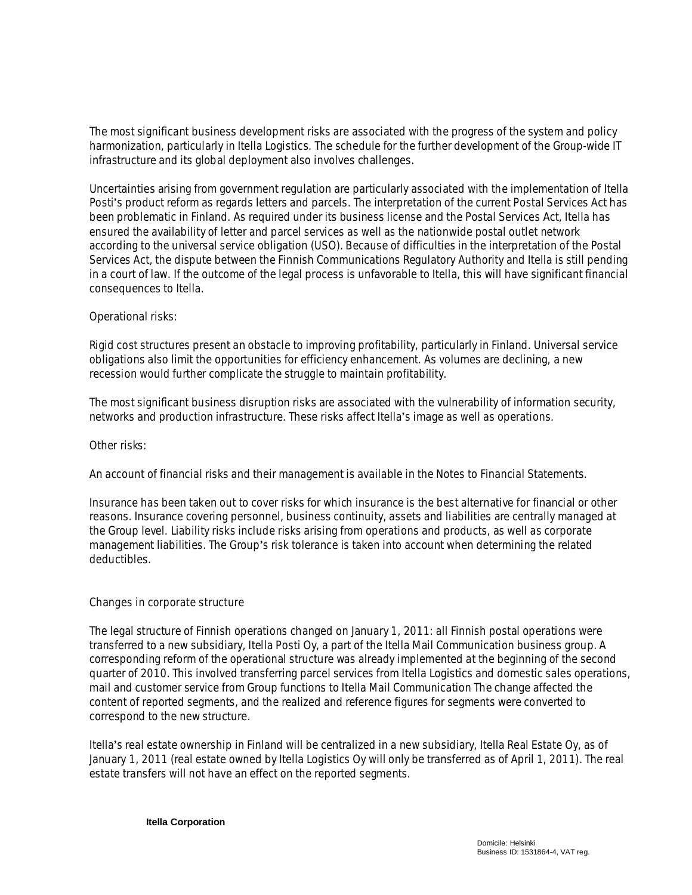The most significant business development risks are associated with the progress of the system and policy harmonization, particularly in Itella Logistics. The schedule for the further development of the Group-wide IT infrastructure and its global deployment also involves challenges.

Uncertainties arising from government regulation are particularly associated with the implementation of Itella Posti's product reform as regards letters and parcels. The interpretation of the current Postal Services Act has been problematic in Finland. As required under its business license and the Postal Services Act, Itella has ensured the availability of letter and parcel services as well as the nationwide postal outlet network according to the universal service obligation (USO). Because of difficulties in the interpretation of the Postal Services Act, the dispute between the Finnish Communications Regulatory Authority and Itella is still pending in a court of law. If the outcome of the legal process is unfavorable to Itella, this will have significant financial consequences to Itella.

## *Operational risks:*

Rigid cost structures present an obstacle to improving profitability, particularly in Finland. Universal service obligations also limit the opportunities for efficiency enhancement. As volumes are declining, a new recession would further complicate the struggle to maintain profitability.

The most significant business disruption risks are associated with the vulnerability of information security, networks and production infrastructure. These risks affect Itella's image as well as operations.

*Other risks:*

An account of financial risks and their management is available in the Notes to Financial Statements.

Insurance has been taken out to cover risks for which insurance is the best alternative for financial or other reasons. Insurance covering personnel, business continuity, assets and liabilities are centrally managed at the Group level. Liability risks include risks arising from operations and products, as well as corporate management liabilities. The Group's risk tolerance is taken into account when determining the related deductibles.

## **Changes in corporate structure**

The legal structure of Finnish operations changed on January 1, 2011: all Finnish postal operations were transferred to a new subsidiary, Itella Posti Oy, a part of the Itella Mail Communication business group. A corresponding reform of the operational structure was already implemented at the beginning of the second quarter of 2010. This involved transferring parcel services from Itella Logistics and domestic sales operations, mail and customer service from Group functions to Itella Mail Communication The change affected the content of reported segments, and the realized and reference figures for segments were converted to correspond to the new structure.

Itella's real estate ownership in Finland will be centralized in a new subsidiary, Itella Real Estate Oy, as of January 1, 2011 (real estate owned by Itella Logistics Oy will only be transferred as of April 1, 2011). The real estate transfers will not have an effect on the reported segments.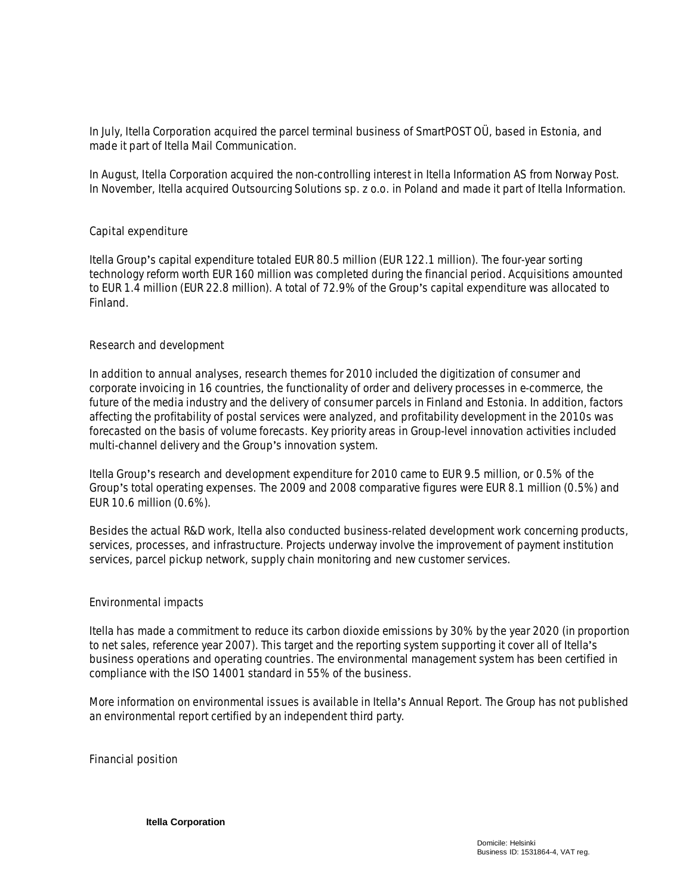In July, Itella Corporation acquired the parcel terminal business of SmartPOST OÜ, based in Estonia, and made it part of Itella Mail Communication.

In August, Itella Corporation acquired the non-controlling interest in Itella Information AS from Norway Post. In November, Itella acquired Outsourcing Solutions sp. z o.o. in Poland and made it part of Itella Information.

#### **Capital expenditure**

Itella Group's capital expenditure totaled EUR 80.5 million (EUR 122.1 million). The four-year sorting technology reform worth EUR 160 million was completed during the financial period. Acquisitions amounted to EUR 1.4 million (EUR 22.8 million). A total of 72.9% of the Group's capital expenditure was allocated to Finland.

#### **Research and development**

In addition to annual analyses, research themes for 2010 included the digitization of consumer and corporate invoicing in 16 countries, the functionality of order and delivery processes in e-commerce, the future of the media industry and the delivery of consumer parcels in Finland and Estonia. In addition, factors affecting the profitability of postal services were analyzed, and profitability development in the 2010s was forecasted on the basis of volume forecasts. Key priority areas in Group-level innovation activities included multi-channel delivery and the Group's innovation system.

Itella Group's research and development expenditure for 2010 came to EUR 9.5 million, or 0.5% of the Group's total operating expenses. The 2009 and 2008 comparative figures were EUR 8.1 million (0.5%) and EUR 10.6 million (0.6%).

Besides the actual R&D work, Itella also conducted business-related development work concerning products, services, processes, and infrastructure. Projects underway involve the improvement of payment institution services, parcel pickup network, supply chain monitoring and new customer services.

#### **Environmental impacts**

Itella has made a commitment to reduce its carbon dioxide emissions by 30% by the year 2020 (in proportion to net sales, reference year 2007). This target and the reporting system supporting it cover all of Itella's business operations and operating countries. The environmental management system has been certified in compliance with the ISO 14001 standard in 55% of the business.

More information on environmental issues is available in Itella's Annual Report. The Group has not published an environmental report certified by an independent third party.

**Financial position**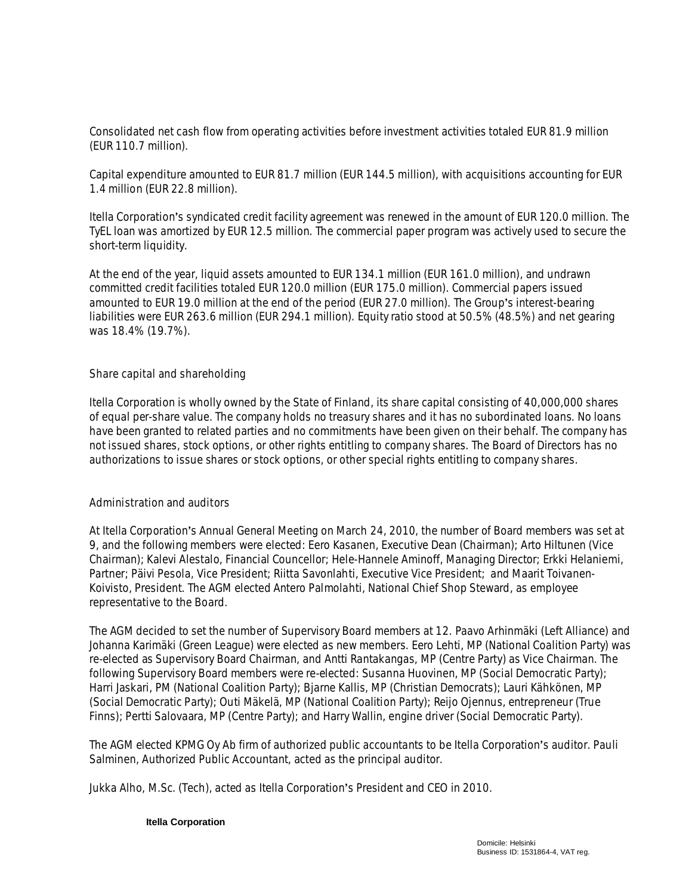Consolidated net cash flow from operating activities before investment activities totaled EUR 81.9 million (EUR 110.7 million).

Capital expenditure amounted to EUR 81.7 million (EUR 144.5 million), with acquisitions accounting for EUR 1.4 million (EUR 22.8 million).

Itella Corporation's syndicated credit facility agreement was renewed in the amount of EUR 120.0 million. The TyEL loan was amortized by EUR 12.5 million. The commercial paper program was actively used to secure the short-term liquidity.

At the end of the year, liquid assets amounted to EUR 134.1 million (EUR 161.0 million), and undrawn committed credit facilities totaled EUR 120.0 million (EUR 175.0 million). Commercial papers issued amounted to EUR 19.0 million at the end of the period (EUR 27.0 million). The Group's interest-bearing liabilities were EUR 263.6 million (EUR 294.1 million). Equity ratio stood at 50.5% (48.5%) and net gearing was 18.4% (19.7%).

#### **Share capital and shareholding**

Itella Corporation is wholly owned by the State of Finland, its share capital consisting of 40,000,000 shares of equal per-share value. The company holds no treasury shares and it has no subordinated loans. No loans have been granted to related parties and no commitments have been given on their behalf. The company has not issued shares, stock options, or other rights entitling to company shares. The Board of Directors has no authorizations to issue shares or stock options, or other special rights entitling to company shares.

## **Administration and auditors**

At Itella Corporation's Annual General Meeting on March 24, 2010, the number of Board members was set at 9, and the following members were elected: Eero Kasanen, Executive Dean (Chairman); Arto Hiltunen (Vice Chairman); Kalevi Alestalo, Financial Councellor; Hele-Hannele Aminoff, Managing Director; Erkki Helaniemi, Partner; Päivi Pesola, Vice President; Riitta Savonlahti, Executive Vice President; and Maarit Toivanen-Koivisto, President. The AGM elected Antero Palmolahti, National Chief Shop Steward, as employee representative to the Board.

The AGM decided to set the number of Supervisory Board members at 12. Paavo Arhinmäki (Left Alliance) and Johanna Karimäki (Green League) were elected as new members. Eero Lehti, MP (National Coalition Party) was re-elected as Supervisory Board Chairman, and Antti Rantakangas, MP (Centre Party) as Vice Chairman. The following Supervisory Board members were re-elected: Susanna Huovinen, MP (Social Democratic Party); Harri Jaskari, PM (National Coalition Party); Bjarne Kallis, MP (Christian Democrats); Lauri Kähkönen, MP (Social Democratic Party); Outi Mäkelä, MP (National Coalition Party); Reijo Ojennus, entrepreneur (True Finns); Pertti Salovaara, MP (Centre Party); and Harry Wallin, engine driver (Social Democratic Party).

The AGM elected KPMG Oy Ab firm of authorized public accountants to be Itella Corporation's auditor. Pauli Salminen, Authorized Public Accountant, acted as the principal auditor.

Jukka Alho, M.Sc. (Tech), acted as Itella Corporation's President and CEO in 2010.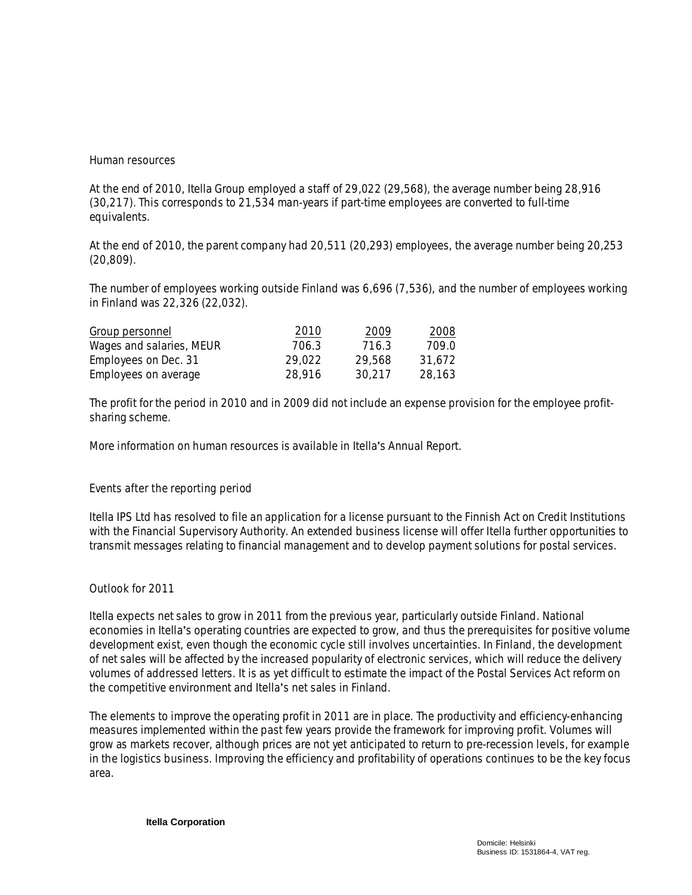#### **Human resources**

At the end of 2010, Itella Group employed a staff of 29,022 (29,568), the average number being 28,916 (30,217). This corresponds to 21,534 man-years if part-time employees are converted to full-time equivalents.

At the end of 2010, the parent company had 20,511 (20,293) employees, the average number being 20,253 (20,809).

The number of employees working outside Finland was 6,696 (7,536), and the number of employees working in Finland was 22,326 (22,032).

| Group personnel          | 2010   | 2009   | 2008   |
|--------------------------|--------|--------|--------|
| Wages and salaries, MEUR | 706.3  | 716.3  | 709.0  |
| Employees on Dec. 31     | 29.022 | 29.568 | 31.672 |
| Employees on average     | 28.916 | 30.217 | 28.163 |

The profit for the period in 2010 and in 2009 did not include an expense provision for the employee profitsharing scheme.

More information on human resources is available in Itella's Annual Report.

## **Events after the reporting period**

Itella IPS Ltd has resolved to file an application for a license pursuant to the Finnish Act on Credit Institutions with the Financial Supervisory Authority. An extended business license will offer Itella further opportunities to transmit messages relating to financial management and to develop payment solutions for postal services.

## **Outlook for 2011**

Itella expects net sales to grow in 2011 from the previous year, particularly outside Finland. National economies in Itella's operating countries are expected to grow, and thus the prerequisites for positive volume development exist, even though the economic cycle still involves uncertainties. In Finland, the development of net sales will be affected by the increased popularity of electronic services, which will reduce the delivery volumes of addressed letters. It is as yet difficult to estimate the impact of the Postal Services Act reform on the competitive environment and Itella's net sales in Finland.

The elements to improve the operating profit in 2011 are in place. The productivity and efficiency-enhancing measures implemented within the past few years provide the framework for improving profit. Volumes will grow as markets recover, although prices are not yet anticipated to return to pre-recession levels, for example in the logistics business. Improving the efficiency and profitability of operations continues to be the key focus area.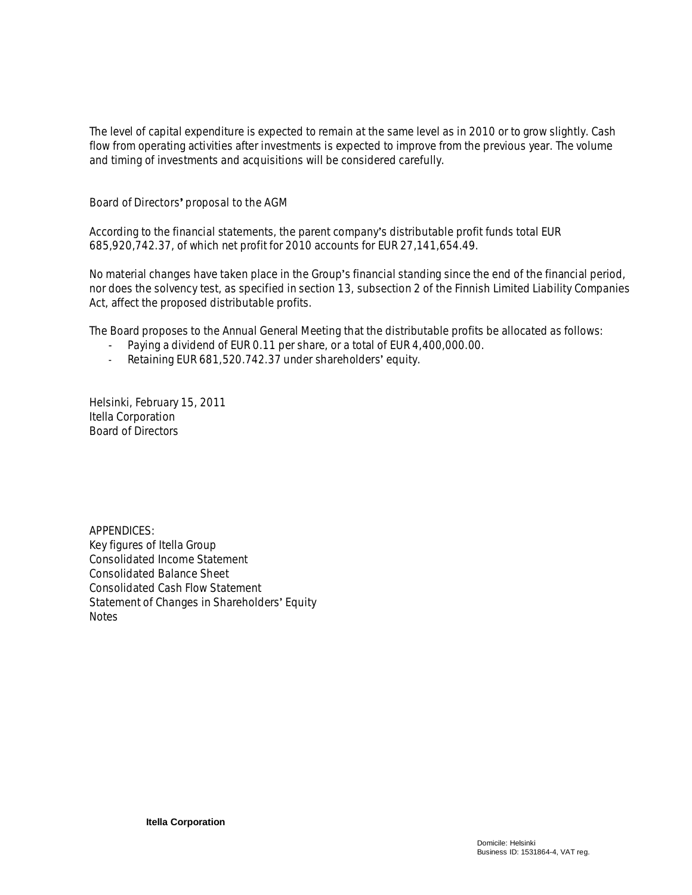The level of capital expenditure is expected to remain at the same level as in 2010 or to grow slightly. Cash flow from operating activities after investments is expected to improve from the previous year. The volume and timing of investments and acquisitions will be considered carefully.

**Board of Directors proposal to the AGM**

According to the financial statements, the parent companys distributable profit funds total EUR 685,920,742.37, of which net profit for 2010 accounts for EUR 27,141,654.49.

No material changes have taken place in the Group's financial standing since the end of the financial period, nor does the solvency test, as specified in section 13, subsection 2 of the Finnish Limited Liability Companies Act, affect the proposed distributable profits.

The Board proposes to the Annual General Meeting that the distributable profits be allocated as follows:

- Paying a dividend of EUR 0.11 per share, or a total of EUR 4,400,000.00.
- Retaining EUR 681,520.742.37 under shareholders' equity.

Helsinki, February 15, 2011 Itella Corporation Board of Directors

APPENDICES: Key figures of Itella Group Consolidated Income Statement Consolidated Balance Sheet Consolidated Cash Flow Statement Statement of Changes in Shareholders' Equity **Notes**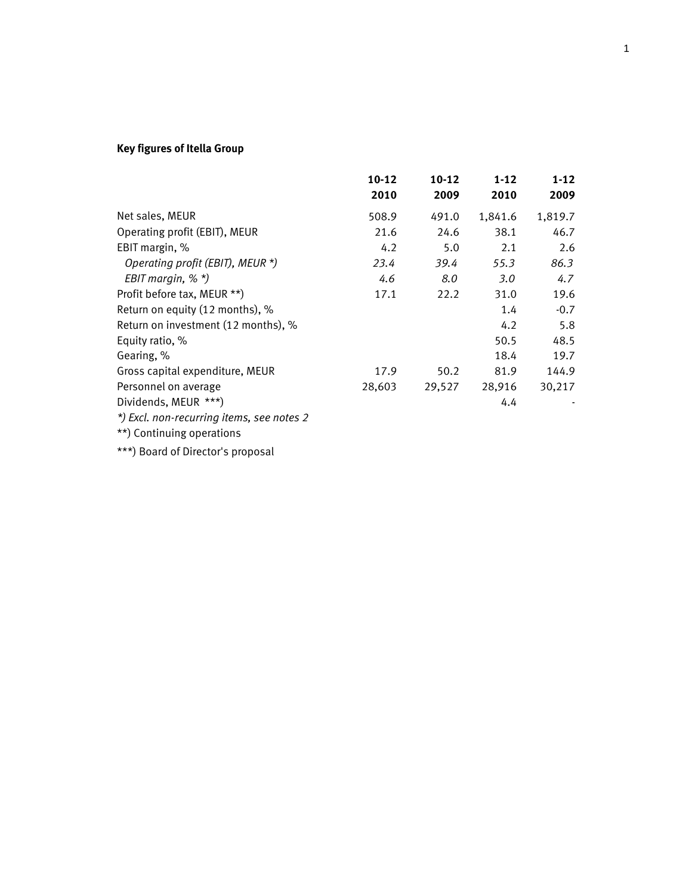# **Key figures of Itella Group**

|                                           | $10 - 12$ | $10 - 12$ | $1 - 12$ | $1-12$  |
|-------------------------------------------|-----------|-----------|----------|---------|
|                                           | 2010      | 2009      | 2010     | 2009    |
| Net sales, MEUR                           | 508.9     | 491.0     | 1,841.6  | 1,819.7 |
| Operating profit (EBIT), MEUR             | 21.6      | 24.6      | 38.1     | 46.7    |
| EBIT margin, %                            | 4.2       | 5.0       | 2.1      | 2.6     |
| Operating profit (EBIT), MEUR *)          | 23.4      | 39.4      | 55.3     | 86.3    |
| EBIT margin, $%$ $*$ )                    | 4.6       | 8.0       | 3.0      | 4.7     |
| Profit before tax, MEUR **)               | 17.1      | 22.2      | 31.0     | 19.6    |
| Return on equity (12 months), %           |           |           | 1.4      | $-0.7$  |
| Return on investment (12 months), %       |           |           | 4.2      | 5.8     |
| Equity ratio, %                           |           |           | 50.5     | 48.5    |
| Gearing, %                                |           |           | 18.4     | 19.7    |
| Gross capital expenditure, MEUR           | 17.9      | 50.2      | 81.9     | 144.9   |
| Personnel on average                      | 28,603    | 29,527    | 28,916   | 30,217  |
| Dividends, MEUR ***)                      |           |           | 4.4      |         |
| *) Excl. non-recurring items, see notes 2 |           |           |          |         |

\*\*) Continuing operations

\*\*\*) Board of Director's proposal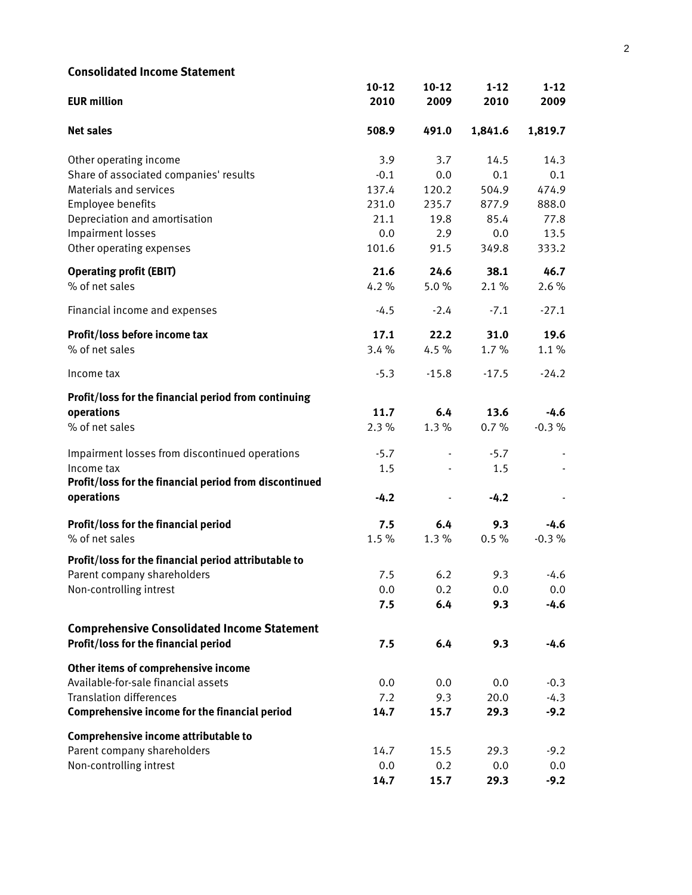| <b>Consolidated Income Statement</b>                   |           |         |          |          |
|--------------------------------------------------------|-----------|---------|----------|----------|
|                                                        | $10 - 12$ | $10-12$ | $1 - 12$ | $1 - 12$ |
| <b>EUR million</b>                                     | 2010      | 2009    | 2010     | 2009     |
| <b>Net sales</b>                                       | 508.9     | 491.0   | 1,841.6  | 1,819.7  |
| Other operating income                                 | 3.9       | 3.7     | 14.5     | 14.3     |
| Share of associated companies' results                 | $-0.1$    | 0.0     | 0.1      | 0.1      |
| Materials and services                                 | 137.4     | 120.2   | 504.9    | 474.9    |
| Employee benefits                                      | 231.0     | 235.7   | 877.9    | 888.0    |
| Depreciation and amortisation                          | 21.1      | 19.8    | 85.4     | 77.8     |
| Impairment losses                                      | 0.0       | 2.9     | 0.0      | 13.5     |
| Other operating expenses                               | 101.6     | 91.5    | 349.8    | 333.2    |
| <b>Operating profit (EBIT)</b>                         | 21.6      | 24.6    | 38.1     | 46.7     |
| % of net sales                                         | 4.2%      | 5.0%    | 2.1%     | 2.6%     |
| Financial income and expenses                          | $-4.5$    | $-2.4$  | $-7.1$   | $-27.1$  |
| Profit/loss before income tax                          | 17.1      | 22.2    | 31.0     | 19.6     |
| % of net sales                                         | 3.4%      | 4.5%    | 1.7%     | 1.1%     |
| Income tax                                             | $-5.3$    | $-15.8$ | $-17.5$  | $-24.2$  |
| Profit/loss for the financial period from continuing   |           |         |          |          |
| operations                                             | 11.7      | 6.4     | 13.6     | $-4.6$   |
| % of net sales                                         | 2.3%      | 1.3%    | 0.7%     | $-0.3%$  |
| Impairment losses from discontinued operations         | $-5.7$    |         | $-5.7$   |          |
| Income tax                                             | 1.5       |         | 1.5      |          |
| Profit/loss for the financial period from discontinued |           |         |          |          |
| operations                                             | $-4.2$    |         | $-4.2$   |          |
| Profit/loss for the financial period                   | 7.5       | 6.4     | 9.3      | -4.6     |
| % of net sales                                         | 1.5%      | 1.3%    | 0.5%     | $-0.3%$  |
| Profit/loss for the financial period attributable to   |           |         |          |          |
| Parent company shareholders                            | 7.5       | 6.2     | 9.3      | $-4.6$   |
| Non-controlling intrest                                | 0.0       | 0.2     | 0.0      | 0.0      |
|                                                        | 7.5       | 6.4     | 9.3      | $-4.6$   |
| <b>Comprehensive Consolidated Income Statement</b>     |           |         |          |          |
| Profit/loss for the financial period                   | 7.5       | 6.4     | 9.3      | $-4.6$   |
| Other items of comprehensive income                    |           |         |          |          |
| Available-for-sale financial assets                    | 0.0       | 0.0     | 0.0      | $-0.3$   |
| <b>Translation differences</b>                         | 7.2       | 9.3     | 20.0     | $-4.3$   |
| Comprehensive income for the financial period          | 14.7      | 15.7    | 29.3     | $-9.2$   |
| Comprehensive income attributable to                   |           |         |          |          |
| Parent company shareholders                            | 14.7      | 15.5    | 29.3     | $-9.2$   |
| Non-controlling intrest                                | 0.0       | 0.2     | 0.0      | 0.0      |
|                                                        | 14.7      | 15.7    | 29.3     | $-9.2$   |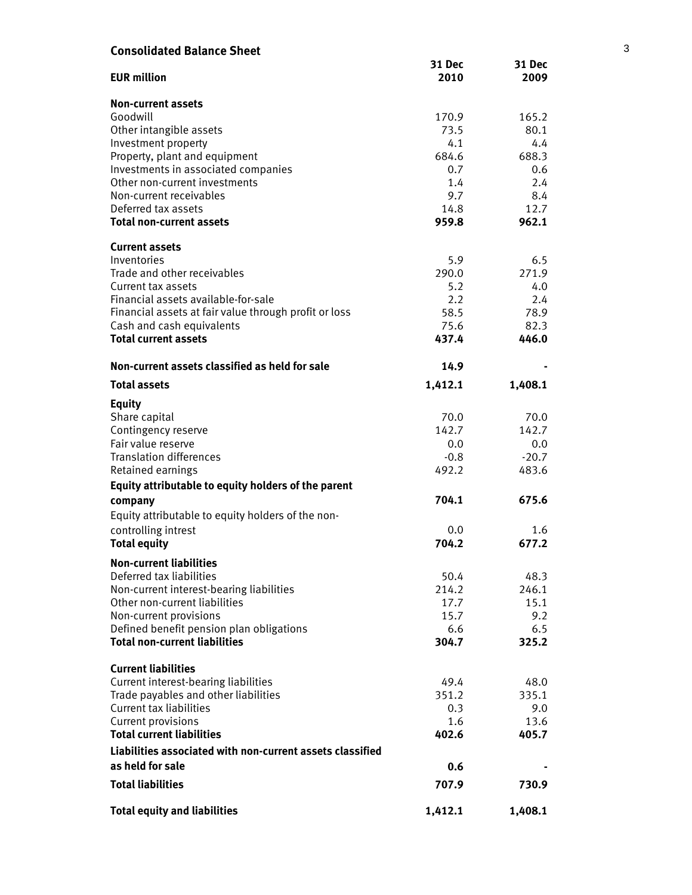| <b>Consolidated Balance Sheet</b>                         |                |                       | 3 |
|-----------------------------------------------------------|----------------|-----------------------|---|
| <b>EUR million</b>                                        | 31 Dec<br>2010 | <b>31 Dec</b><br>2009 |   |
| <b>Non-current assets</b>                                 |                |                       |   |
| Goodwill                                                  | 170.9          | 165.2                 |   |
| Other intangible assets                                   | 73.5           | 80.1                  |   |
| Investment property                                       | 4.1            | 4.4                   |   |
| Property, plant and equipment                             | 684.6          | 688.3                 |   |
| Investments in associated companies                       | 0.7            | 0.6                   |   |
| Other non-current investments                             | 1.4            | 2.4                   |   |
| Non-current receivables                                   | 9.7            | 8.4                   |   |
| Deferred tax assets                                       | 14.8           | 12.7                  |   |
| <b>Total non-current assets</b>                           | 959.8          | 962.1                 |   |
| <b>Current assets</b>                                     |                |                       |   |
| Inventories                                               | 5.9            | 6.5                   |   |
| Trade and other receivables                               | 290.0          | 271.9                 |   |
| Current tax assets                                        | 5.2            | 4.0                   |   |
| Financial assets available-for-sale                       | 2.2            | 2.4                   |   |
| Financial assets at fair value through profit or loss     | 58.5           | 78.9                  |   |
| Cash and cash equivalents                                 | 75.6           | 82.3                  |   |
| <b>Total current assets</b>                               | 437.4          | 446.0                 |   |
| Non-current assets classified as held for sale            | 14.9           |                       |   |
| <b>Total assets</b>                                       | 1,412.1        | 1,408.1               |   |
| <b>Equity</b>                                             |                |                       |   |
| Share capital                                             | 70.0           | 70.0                  |   |
| Contingency reserve                                       | 142.7          | 142.7                 |   |
| Fair value reserve                                        | 0.0            | 0.0                   |   |
| <b>Translation differences</b>                            | $-0.8$         | $-20.7$               |   |
| Retained earnings                                         | 492.2          | 483.6                 |   |
| Equity attributable to equity holders of the parent       |                |                       |   |
| company                                                   | 704.1          | 675.6                 |   |
| Equity attributable to equity holders of the non-         |                |                       |   |
| controlling intrest                                       | 0.0            | 1.6                   |   |
| <b>Total equity</b>                                       | 704.2          | 677.2                 |   |
| <b>Non-current liabilities</b>                            |                |                       |   |
| Deferred tax liabilities                                  | 50.4           | 48.3                  |   |
| Non-current interest-bearing liabilities                  | 214.2          | 246.1                 |   |
| Other non-current liabilities                             | 17.7           | 15.1                  |   |
| Non-current provisions                                    | 15.7           | 9.2                   |   |
| Defined benefit pension plan obligations                  | 6.6            | 6.5                   |   |
| <b>Total non-current liabilities</b>                      | 304.7          | 325.2                 |   |
| <b>Current liabilities</b>                                |                |                       |   |
| Current interest-bearing liabilities                      | 49.4           | 48.0                  |   |
| Trade payables and other liabilities                      | 351.2          | 335.1                 |   |
| <b>Current tax liabilities</b>                            | 0.3            | 9.0                   |   |
| Current provisions                                        | 1.6            | 13.6                  |   |
| <b>Total current liabilities</b>                          | 402.6          | 405.7                 |   |
| Liabilities associated with non-current assets classified |                |                       |   |
| as held for sale                                          | 0.6            |                       |   |
| <b>Total liabilities</b>                                  | 707.9          | 730.9                 |   |
| <b>Total equity and liabilities</b>                       | 1,412.1        | 1,408.1               |   |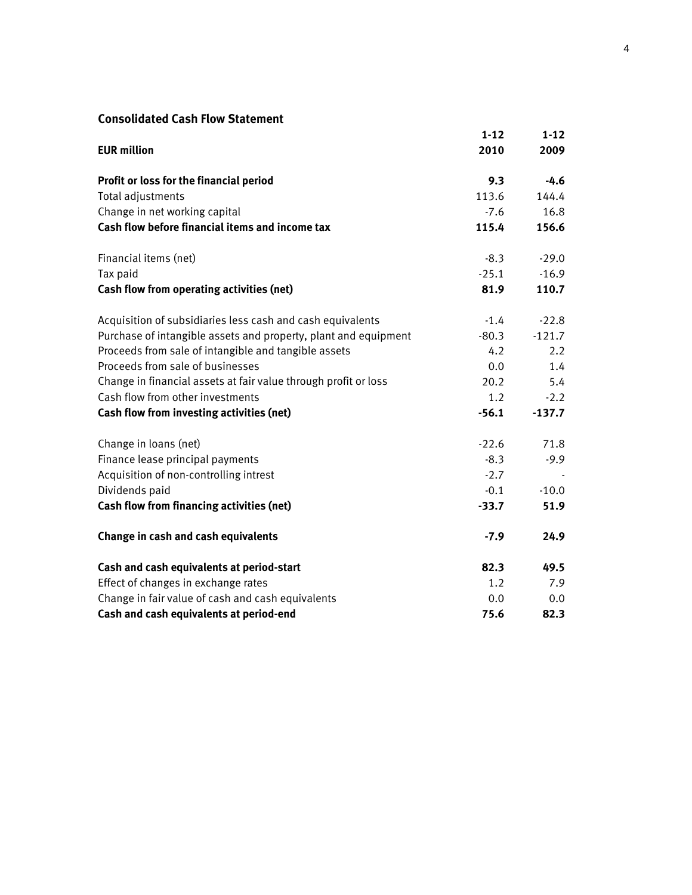# **Consolidated Cash Flow Statement**

|                                                                 | $1 - 12$ | $1 - 12$      |
|-----------------------------------------------------------------|----------|---------------|
| <b>EUR million</b>                                              | 2010     | 2009          |
| Profit or loss for the financial period                         | 9.3      | -4.6          |
| Total adjustments                                               | 113.6    | 144.4         |
| Change in net working capital                                   | $-7.6$   | 16.8          |
| Cash flow before financial items and income tax                 | 115.4    | 156.6         |
| Financial items (net)                                           | $-8.3$   | $-29.0$       |
| Tax paid                                                        | $-25.1$  | $-16.9$       |
| Cash flow from operating activities (net)                       | 81.9     | 110.7         |
| Acquisition of subsidiaries less cash and cash equivalents      | $-1.4$   | $-22.8$       |
| Purchase of intangible assets and property, plant and equipment | $-80.3$  | $-121.7$      |
| Proceeds from sale of intangible and tangible assets            | 4.2      | $2.2^{\circ}$ |
| Proceeds from sale of businesses                                | 0.0      | 1.4           |
| Change in financial assets at fair value through profit or loss | 20.2     | 5.4           |
| Cash flow from other investments                                | 1.2      | $-2.2$        |
| Cash flow from investing activities (net)                       | $-56.1$  | $-137.7$      |
| Change in loans (net)                                           | $-22.6$  | 71.8          |
| Finance lease principal payments                                | $-8.3$   | $-9.9$        |
| Acquisition of non-controlling intrest                          | $-2.7$   |               |
| Dividends paid                                                  | $-0.1$   | $-10.0$       |
| Cash flow from financing activities (net)                       | $-33.7$  | 51.9          |
| Change in cash and cash equivalents                             | $-7.9$   | 24.9          |
| Cash and cash equivalents at period-start                       | 82.3     | 49.5          |
| Effect of changes in exchange rates                             | 1.2      | 7.9           |
| Change in fair value of cash and cash equivalents               | 0.0      | 0.0           |
| Cash and cash equivalents at period-end                         | 75.6     | 82.3          |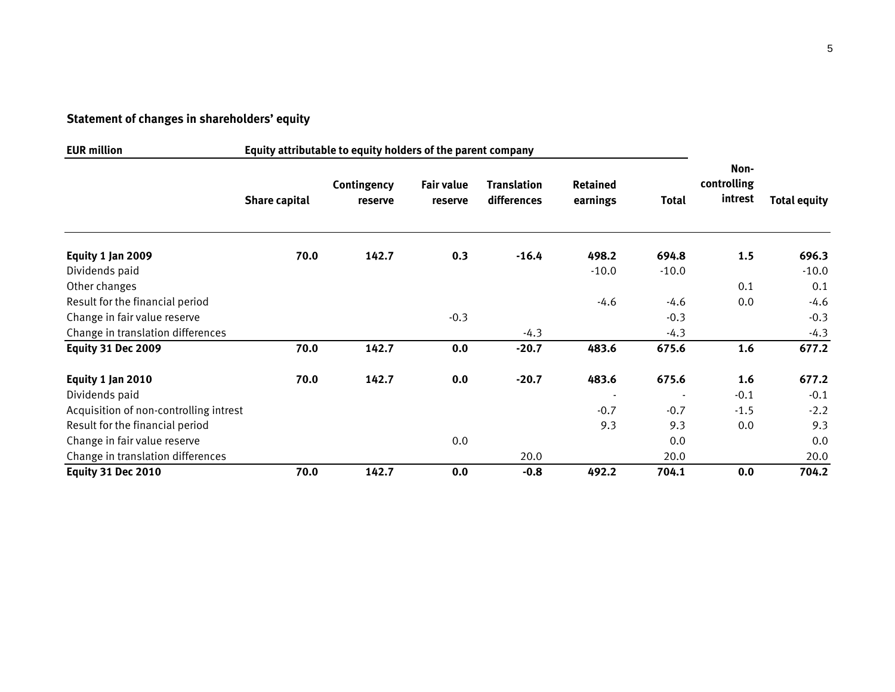# **Statement of changes in shareholders' equity**

| <b>EUR million</b>                     | Equity attributable to equity holders of the parent company |                        |                       |                                   |                      |                          |                                |                     |
|----------------------------------------|-------------------------------------------------------------|------------------------|-----------------------|-----------------------------------|----------------------|--------------------------|--------------------------------|---------------------|
|                                        | <b>Share capital</b>                                        | Contingency<br>reserve | Fair value<br>reserve | <b>Translation</b><br>differences | Retained<br>earnings | Total                    | Non-<br>controlling<br>intrest | <b>Total equity</b> |
| Equity 1 Jan 2009                      | 70.0                                                        | 142.7                  | 0.3                   | $-16.4$                           | 498.2                | 694.8                    | 1.5                            | 696.3               |
| Dividends paid                         |                                                             |                        |                       |                                   | $-10.0$              | $-10.0$                  |                                | $-10.0$             |
| Other changes                          |                                                             |                        |                       |                                   |                      |                          | 0.1                            | 0.1                 |
| Result for the financial period        |                                                             |                        |                       |                                   | $-4.6$               | $-4.6$                   | 0.0                            | $-4.6$              |
| Change in fair value reserve           |                                                             |                        | $-0.3$                |                                   |                      | $-0.3$                   |                                | $-0.3$              |
| Change in translation differences      |                                                             |                        |                       | $-4.3$                            |                      | $-4.3$                   |                                | $-4.3$              |
| <b>Equity 31 Dec 2009</b>              | 70.0                                                        | 142.7                  | 0.0                   | $-20.7$                           | 483.6                | 675.6                    | 1.6                            | 677.2               |
| Equity 1 Jan 2010                      | 70.0                                                        | 142.7                  | 0.0                   | $-20.7$                           | 483.6                | 675.6                    | 1.6                            | 677.2               |
| Dividends paid                         |                                                             |                        |                       |                                   |                      | $\overline{\phantom{a}}$ | $-0.1$                         | $-0.1$              |
| Acquisition of non-controlling intrest |                                                             |                        |                       |                                   | $-0.7$               | $-0.7$                   | $-1.5$                         | $-2.2$              |
| Result for the financial period        |                                                             |                        |                       |                                   | 9.3                  | 9.3                      | 0.0                            | 9.3                 |
| Change in fair value reserve           |                                                             |                        | 0.0                   |                                   |                      | 0.0                      |                                | 0.0                 |
| Change in translation differences      |                                                             |                        |                       | 20.0                              |                      | 20.0                     |                                | 20.0                |
| Equity 31 Dec 2010                     | 70.0                                                        | 142.7                  | 0.0                   | $-0.8$                            | 492.2                | 704.1                    | 0.0                            | 704.2               |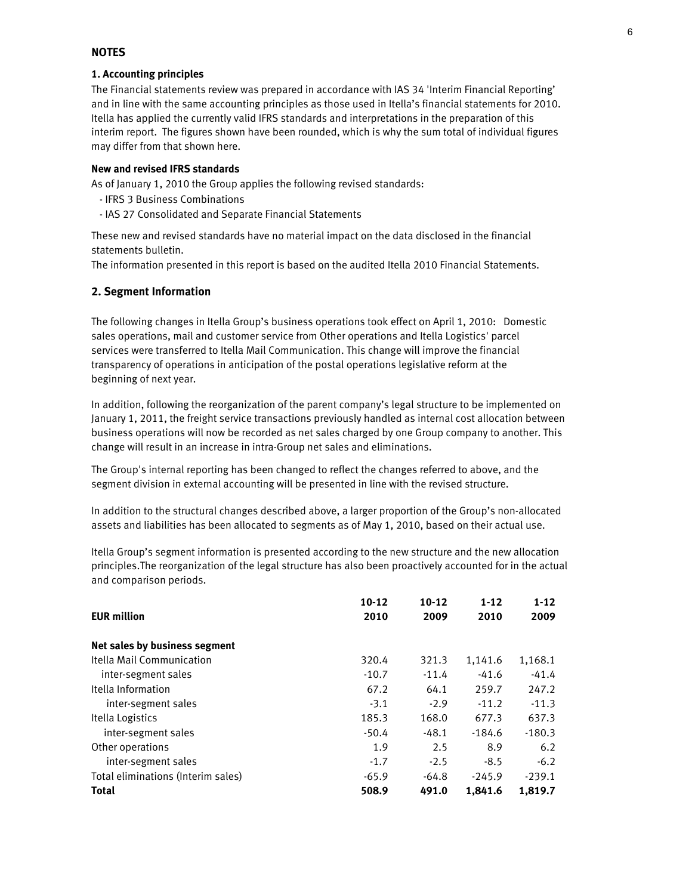#### **NOTES**

#### **1. Accounting principles**

The Financial statements review was prepared in accordance with IAS 34 'Interim Financial Reporting' and in line with the same accounting principles as those used in Itella's financial statements for 2010. Itella has applied the currently valid IFRS standards and interpretations in the preparation of this interim report. The figures shown have been rounded, which is why the sum total of individual figures may differ from that shown here.

#### **New and revised IFRS standards**

As of January 1, 2010 the Group applies the following revised standards:

- IFRS 3 Business Combinations
- IAS 27 Consolidated and Separate Financial Statements

These new and revised standards have no material impact on the data disclosed in the financial statements bulletin.

The information presented in this report is based on the audited Itella 2010 Financial Statements.

#### **2. Segment Information**

The following changes in Itella Group's business operations took effect on April 1, 2010: Domestic sales operations, mail and customer service from Other operations and Itella Logistics' parcel services were transferred to Itella Mail Communication. This change will improve the financial transparency of operations in anticipation of the postal operations legislative reform at the beginning of next year.

In addition, following the reorganization of the parent company's legal structure to be implemented on January 1, 2011, the freight service transactions previously handled as internal cost allocation between business operations will now be recorded as net sales charged by one Group company to another. This change will result in an increase in intra-Group net sales and eliminations.

The Group's internal reporting has been changed to reflect the changes referred to above, and the segment division in external accounting will be presented in line with the revised structure.

In addition to the structural changes described above, a larger proportion of the Group's non-allocated assets and liabilities has been allocated to segments as of May 1, 2010, based on their actual use.

Itella Group's segment information is presented according to the new structure and the new allocation principles.The reorganization of the legal structure has also been proactively accounted for in the actual and comparison periods.

|                                    | $10 - 12$ | $10-12$ | $1 - 12$ | $1 - 12$ |
|------------------------------------|-----------|---------|----------|----------|
| <b>EUR million</b>                 | 2010      | 2009    | 2010     | 2009     |
| Net sales by business segment      |           |         |          |          |
| Itella Mail Communication          | 320.4     | 321.3   | 1,141.6  | 1,168.1  |
| inter-segment sales                | $-10.7$   | $-11.4$ | $-41.6$  | $-41.4$  |
| Itella Information                 | 67.2      | 64.1    | 259.7    | 247.2    |
| inter-segment sales                | $-3.1$    | $-2.9$  | $-11.2$  | $-11.3$  |
| Itella Logistics                   | 185.3     | 168.0   | 677.3    | 637.3    |
| inter-segment sales                | $-50.4$   | $-48.1$ | $-184.6$ | $-180.3$ |
| Other operations                   | 1.9       | 2.5     | 8.9      | 6.2      |
| inter-segment sales                | $-1.7$    | $-2.5$  | $-8.5$   | $-6.2$   |
| Total eliminations (Interim sales) | $-65.9$   | -64.8   | $-245.9$ | $-239.1$ |
| <b>Total</b>                       | 508.9     | 491.0   | 1.841.6  | 1,819.7  |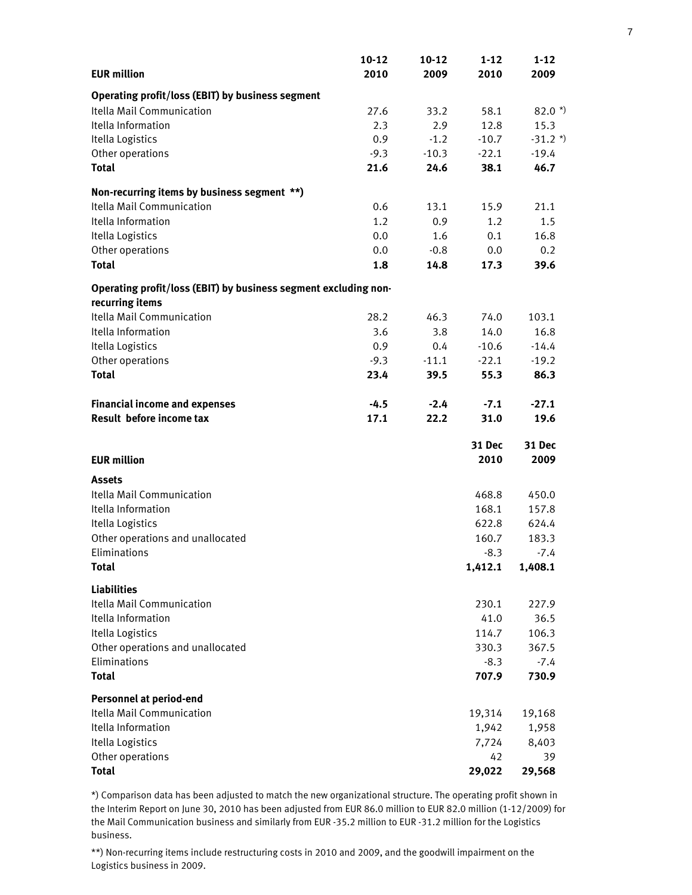|                                                                 | $10 - 12$ | $10 - 12$ | $1 - 12$ | $1 - 12$      |
|-----------------------------------------------------------------|-----------|-----------|----------|---------------|
| <b>EUR million</b>                                              | 2010      | 2009      | 2010     | 2009          |
| Operating profit/loss (EBIT) by business segment                |           |           |          |               |
| Itella Mail Communication                                       | 27.6      | 33.2      | 58.1     | $82.0*)$      |
| Itella Information                                              | 2.3       | 2.9       | 12.8     | 15.3          |
| Itella Logistics                                                | 0.9       | $-1.2$    | $-10.7$  | $-31.2*)$     |
| Other operations                                                | $-9.3$    | $-10.3$   | $-22.1$  | $-19.4$       |
| <b>Total</b>                                                    | 21.6      | 24.6      | 38.1     | 46.7          |
| Non-recurring items by business segment **)                     |           |           |          |               |
| Itella Mail Communication                                       | 0.6       | 13.1      | 15.9     | 21.1          |
| Itella Information                                              | 1.2       | 0.9       | 1.2      | 1.5           |
| Itella Logistics                                                | 0.0       | 1.6       | 0.1      | 16.8          |
| Other operations                                                | 0.0       | $-0.8$    | 0.0      | 0.2           |
| <b>Total</b>                                                    | 1.8       | 14.8      | 17.3     | 39.6          |
| Operating profit/loss (EBIT) by business segment excluding non- |           |           |          |               |
| recurring items                                                 |           |           |          |               |
| Itella Mail Communication                                       | 28.2      | 46.3      | 74.0     | 103.1         |
| Itella Information                                              | 3.6       | 3.8       | 14.0     | 16.8          |
| Itella Logistics                                                | 0.9       | 0.4       | $-10.6$  | $-14.4$       |
| Other operations                                                | $-9.3$    | $-11.1$   | $-22.1$  | $-19.2$       |
| <b>Total</b>                                                    | 23.4      | 39.5      | 55.3     | 86.3          |
| <b>Financial income and expenses</b>                            | $-4.5$    | $-2.4$    | $-7.1$   | $-27.1$       |
| Result before income tax                                        | 17.1      | 22.2      | 31.0     | 19.6          |
|                                                                 |           |           | 31 Dec   | <b>31 Dec</b> |
| <b>EUR million</b>                                              |           |           | 2010     | 2009          |
| <b>Assets</b>                                                   |           |           |          |               |
| Itella Mail Communication                                       |           |           | 468.8    | 450.0         |
| Itella Information                                              |           |           | 168.1    | 157.8         |
| Itella Logistics                                                |           |           | 622.8    | 624.4         |
| Other operations and unallocated                                |           |           | 160.7    | 183.3         |
| Eliminations                                                    |           |           | $-8.3$   | $-7.4$        |
| <b>Total</b>                                                    |           |           | 1,412.1  | 1,408.1       |
| <b>Liabilities</b>                                              |           |           |          |               |
| Itella Mail Communication                                       |           |           | 230.1    | 227.9         |
| Itella Information                                              |           |           | 41.0     | 36.5          |
| Itella Logistics                                                |           |           | 114.7    | 106.3         |
| Other operations and unallocated                                |           |           | 330.3    | 367.5         |
| Eliminations                                                    |           |           | $-8.3$   | $-7.4$        |
| <b>Total</b>                                                    |           |           | 707.9    | 730.9         |
| <b>Personnel at period-end</b>                                  |           |           |          |               |
| Itella Mail Communication                                       |           |           | 19,314   | 19,168        |
| Itella Information                                              |           |           | 1,942    | 1,958         |
| Itella Logistics                                                |           |           | 7,724    | 8,403         |
| Other operations                                                |           |           | 42       | 39            |
| <b>Total</b>                                                    |           |           | 29,022   | 29,568        |

\*) Comparison data has been adjusted to match the new organizational structure. The operating profit shown in the Interim Report on June 30, 2010 has been adjusted from EUR 86.0 million to EUR 82.0 million (1-12/2009) for the Mail Communication business and similarly from EUR -35.2 million to EUR -31.2 million for the Logistics business.

\*\*) Non-recurring items include restructuring costs in 2010 and 2009, and the goodwill impairment on the Logistics business in 2009.